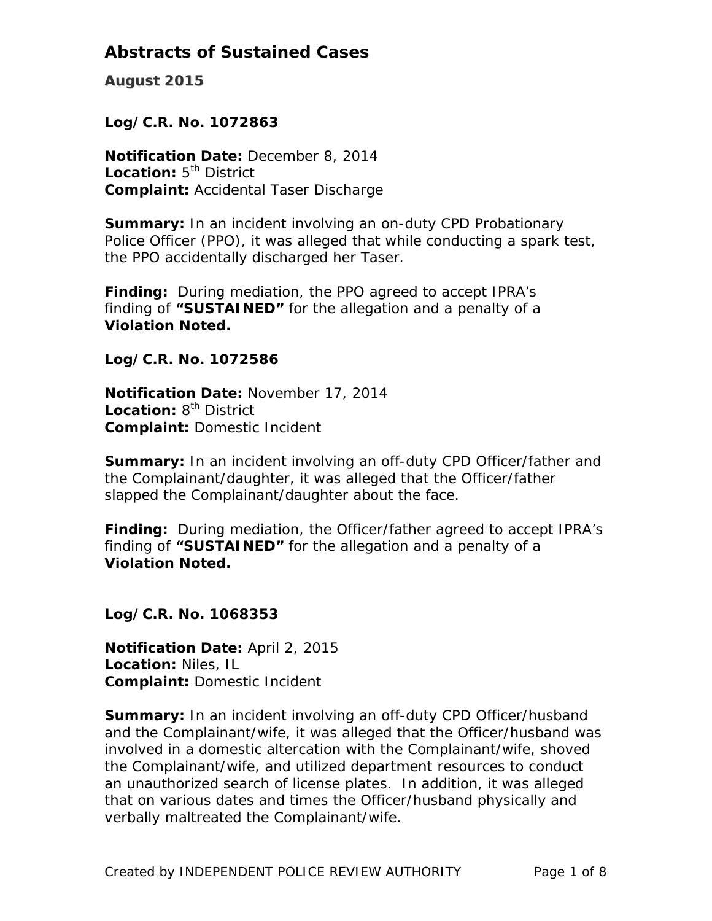**August 2015**

### *Log/C.R. No. 1072863*

**Notification Date:** December 8, 2014 **Location:** 5<sup>th</sup> District **Complaint:** Accidental Taser Discharge

**Summary:** In an incident involving an on-duty CPD Probationary Police Officer (PPO), it was alleged that while conducting a spark test, the PPO accidentally discharged her Taser.

**Finding:** During mediation, the PPO agreed to accept IPRA's finding of **"SUSTAINED"** for the allegation and a penalty of a **Violation Noted.** 

### *Log/C.R. No. 1072586*

**Notification Date:** November 17, 2014 **Location: 8<sup>th</sup> District Complaint:** Domestic Incident

**Summary:** In an incident involving an off-duty CPD Officer/father and the Complainant/daughter, it was alleged that the Officer/father slapped the Complainant/daughter about the face.

**Finding:** During mediation, the Officer/father agreed to accept IPRA's finding of **"SUSTAINED"** for the allegation and a penalty of a **Violation Noted.** 

#### *Log/C.R. No. 1068353*

**Notification Date:** April 2, 2015 **Location:** Niles, IL **Complaint:** Domestic Incident

**Summary:** In an incident involving an off-duty CPD Officer/husband and the Complainant/wife, it was alleged that the Officer/husband was involved in a domestic altercation with the Complainant/wife, shoved the Complainant/wife, and utilized department resources to conduct an unauthorized search of license plates. In addition, it was alleged that on various dates and times the Officer/husband physically and verbally maltreated the Complainant/wife.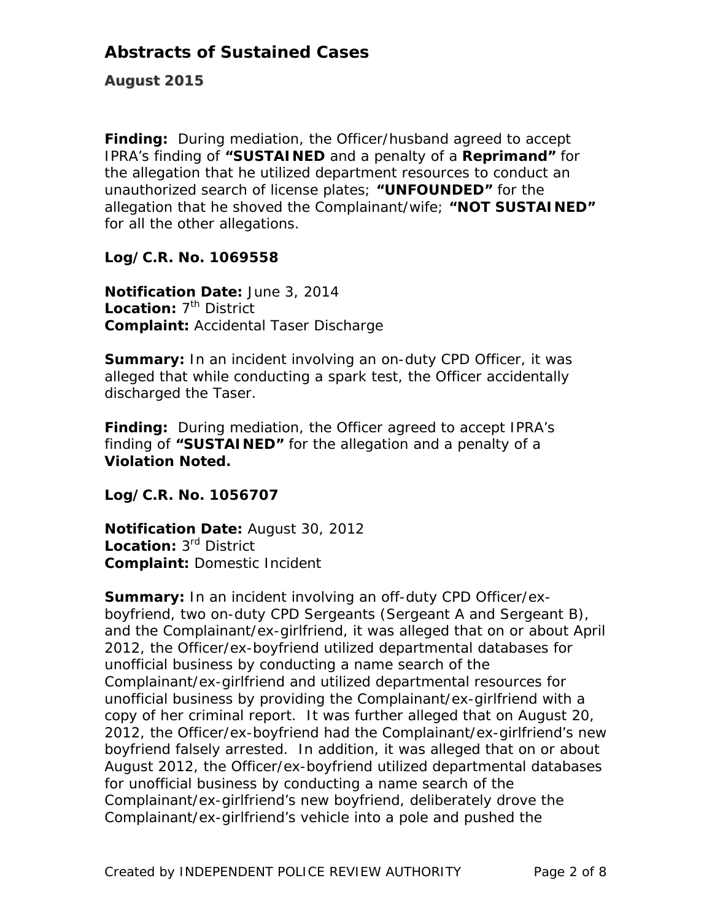**August 2015**

**Finding:** During mediation, the Officer/husband agreed to accept IPRA's finding of **"SUSTAINED** and a penalty of a **Reprimand"** for the allegation that he utilized department resources to conduct an unauthorized search of license plates; **"UNFOUNDED"** for the allegation that he shoved the Complainant/wife; **"NOT SUSTAINED"**  for all the other allegations.

### *Log/C.R. No. 1069558*

**Notification Date:** June 3, 2014 Location: 7<sup>th</sup> District **Complaint:** Accidental Taser Discharge

**Summary:** In an incident involving an on-duty CPD Officer, it was alleged that while conducting a spark test, the Officer accidentally discharged the Taser.

**Finding:** During mediation, the Officer agreed to accept IPRA's finding of **"SUSTAINED"** for the allegation and a penalty of a **Violation Noted.** 

#### *Log/C.R. No. 1056707*

**Notification Date:** August 30, 2012 **Location:** 3rd District **Complaint:** Domestic Incident

**Summary:** In an incident involving an off-duty CPD Officer/exboyfriend, two on-duty CPD Sergeants (Sergeant A and Sergeant B), and the Complainant/ex-girlfriend, it was alleged that on or about April 2012, the Officer/ex-boyfriend utilized departmental databases for unofficial business by conducting a name search of the Complainant/ex-girlfriend and utilized departmental resources for unofficial business by providing the Complainant/ex-girlfriend with a copy of her criminal report. It was further alleged that on August 20, 2012, the Officer/ex-boyfriend had the Complainant/ex-girlfriend's new boyfriend falsely arrested. In addition, it was alleged that on or about August 2012, the Officer/ex-boyfriend utilized departmental databases for unofficial business by conducting a name search of the Complainant/ex-girlfriend's new boyfriend, deliberately drove the Complainant/ex-girlfriend's vehicle into a pole and pushed the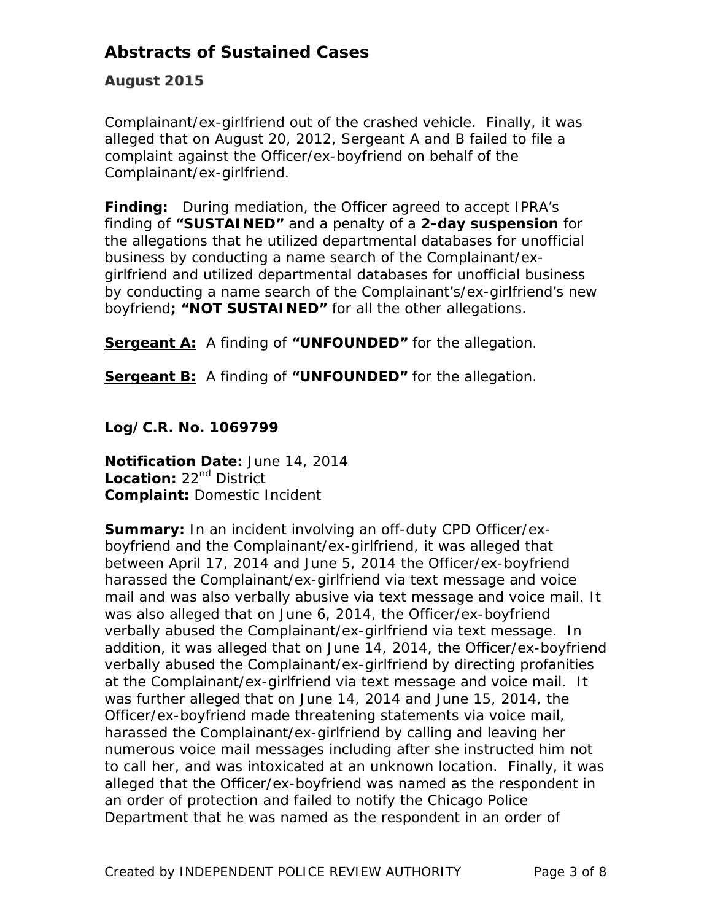### **August 2015**

Complainant/ex-girlfriend out of the crashed vehicle. Finally, it was alleged that on August 20, 2012, Sergeant A and B failed to file a complaint against the Officer/ex-boyfriend on behalf of the Complainant/ex-girlfriend.

**Finding:** During mediation, the Officer agreed to accept IPRA's finding of **"SUSTAINED"** and a penalty of a **2-day suspension** for the allegations that he utilized departmental databases for unofficial business by conducting a name search of the Complainant/exgirlfriend and utilized departmental databases for unofficial business by conducting a name search of the Complainant's/ex-girlfriend's new boyfriend**; "NOT SUSTAINED"** for all the other allegations.

**Sergeant A:** A finding of **"UNFOUNDED"** for the allegation.

**Sergeant B:** A finding of **"UNFOUNDED"** for the allegation.

*Log/C.R. No. 1069799*

**Notification Date:** June 14, 2014 Location: 22<sup>nd</sup> District **Complaint:** Domestic Incident

**Summary:** In an incident involving an off-duty CPD Officer/exboyfriend and the Complainant/ex-girlfriend, it was alleged that between April 17, 2014 and June 5, 2014 the Officer/ex-boyfriend harassed the Complainant/ex-girlfriend via text message and voice mail and was also verbally abusive via text message and voice mail. It was also alleged that on June 6, 2014, the Officer/ex-boyfriend verbally abused the Complainant/ex-girlfriend via text message. In addition, it was alleged that on June 14, 2014, the Officer/ex-boyfriend verbally abused the Complainant/ex-girlfriend by directing profanities at the Complainant/ex-girlfriend via text message and voice mail. It was further alleged that on June 14, 2014 and June 15, 2014, the Officer/ex-boyfriend made threatening statements via voice mail, harassed the Complainant/ex-girlfriend by calling and leaving her numerous voice mail messages including after she instructed him not to call her, and was intoxicated at an unknown location. Finally, it was alleged that the Officer/ex-boyfriend was named as the respondent in an order of protection and failed to notify the Chicago Police Department that he was named as the respondent in an order of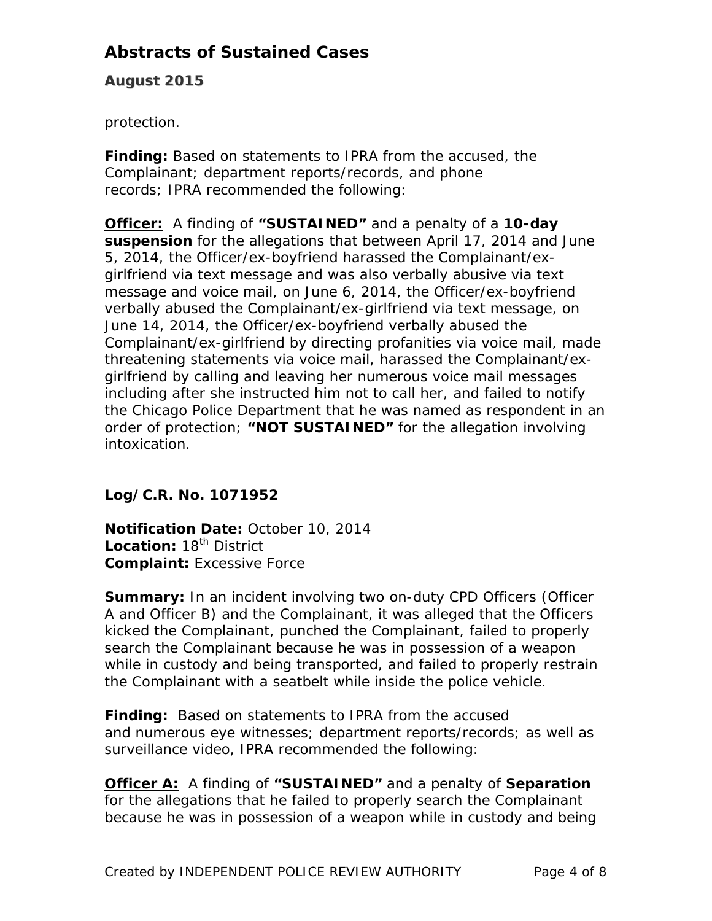**August 2015**

protection.

**Finding:** Based on statements to IPRA from the accused, the Complainant; department reports/records, and phone records; IPRA recommended the following:

**Officer:** A finding of **"SUSTAINED"** and a penalty of a **10-day suspension** for the allegations that between April 17, 2014 and June 5, 2014, the Officer/ex-boyfriend harassed the Complainant/exgirlfriend via text message and was also verbally abusive via text message and voice mail, on June 6, 2014, the Officer/ex-boyfriend verbally abused the Complainant/ex-girlfriend via text message, on June 14, 2014, the Officer/ex-boyfriend verbally abused the Complainant/ex-girlfriend by directing profanities via voice mail, made threatening statements via voice mail, harassed the Complainant/exgirlfriend by calling and leaving her numerous voice mail messages including after she instructed him not to call her, and failed to notify the Chicago Police Department that he was named as respondent in an order of protection; **"NOT SUSTAINED"** for the allegation involving intoxication.

## *Log/C.R. No. 1071952*

**Notification Date:** October 10, 2014 **Location: 18<sup>th</sup> District Complaint:** Excessive Force

**Summary:** In an incident involving two on-duty CPD Officers (Officer A and Officer B) and the Complainant, it was alleged that the Officers kicked the Complainant, punched the Complainant, failed to properly search the Complainant because he was in possession of a weapon while in custody and being transported, and failed to properly restrain the Complainant with a seatbelt while inside the police vehicle.

**Finding:** Based on statements to IPRA from the accused and numerous eye witnesses; department reports/records; as well as surveillance video, IPRA recommended the following:

**Officer A:** A finding of **"SUSTAINED"** and a penalty of **Separation**  for the allegations that he failed to properly search the Complainant because he was in possession of a weapon while in custody and being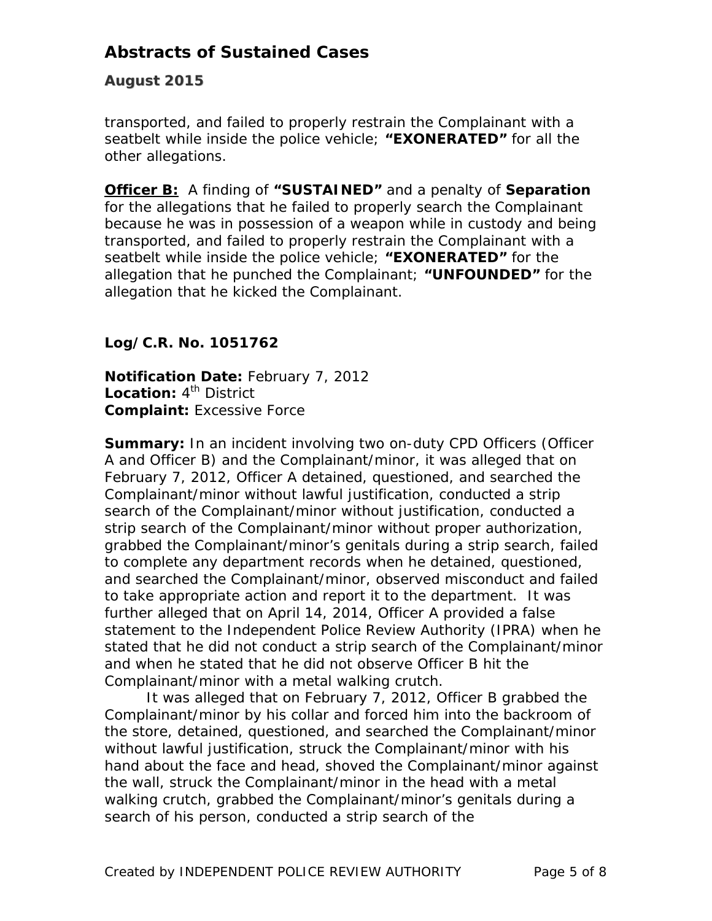### **August 2015**

transported, and failed to properly restrain the Complainant with a seatbelt while inside the police vehicle; **"EXONERATED"** for all the other allegations.

**Officer B:** A finding of **"SUSTAINED"** and a penalty of **Separation**  for the allegations that he failed to properly search the Complainant because he was in possession of a weapon while in custody and being transported, and failed to properly restrain the Complainant with a seatbelt while inside the police vehicle; **"EXONERATED"** for the allegation that he punched the Complainant; **"UNFOUNDED"** for the allegation that he kicked the Complainant.

## *Log/C.R. No. 1051762*

**Notification Date:** February 7, 2012 Location: 4<sup>th</sup> District **Complaint:** Excessive Force

**Summary:** In an incident involving two on-duty CPD Officers (Officer A and Officer B) and the Complainant/minor, it was alleged that on February 7, 2012, Officer A detained, questioned, and searched the Complainant/minor without lawful justification, conducted a strip search of the Complainant/minor without justification, conducted a strip search of the Complainant/minor without proper authorization, grabbed the Complainant/minor's genitals during a strip search, failed to complete any department records when he detained, questioned, and searched the Complainant/minor, observed misconduct and failed to take appropriate action and report it to the department. It was further alleged that on April 14, 2014, Officer A provided a false statement to the Independent Police Review Authority (IPRA) when he stated that he did not conduct a strip search of the Complainant/minor and when he stated that he did not observe Officer B hit the Complainant/minor with a metal walking crutch.

 It was alleged that on February 7, 2012, Officer B grabbed the Complainant/minor by his collar and forced him into the backroom of the store, detained, questioned, and searched the Complainant/minor without lawful justification, struck the Complainant/minor with his hand about the face and head, shoved the Complainant/minor against the wall, struck the Complainant/minor in the head with a metal walking crutch, grabbed the Complainant/minor's genitals during a search of his person, conducted a strip search of the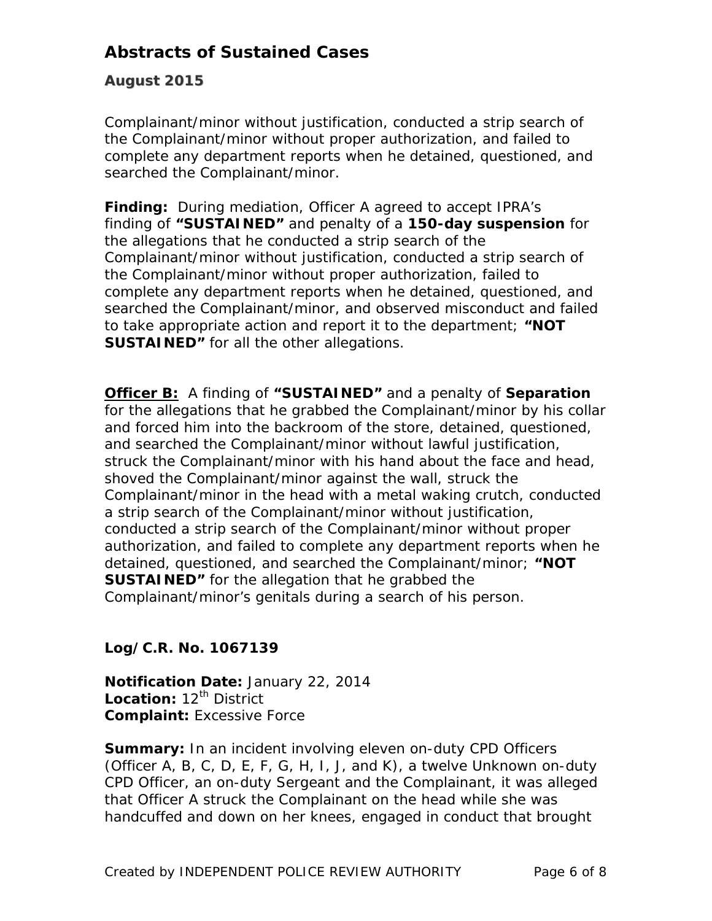### **August 2015**

Complainant/minor without justification, conducted a strip search of the Complainant/minor without proper authorization, and failed to complete any department reports when he detained, questioned, and searched the Complainant/minor.

**Finding:** During mediation, Officer A agreed to accept IPRA's finding of **"SUSTAINED"** and penalty of a **150-day suspension** for the allegations that he conducted a strip search of the Complainant/minor without justification, conducted a strip search of the Complainant/minor without proper authorization, failed to complete any department reports when he detained, questioned, and searched the Complainant/minor, and observed misconduct and failed to take appropriate action and report it to the department; **"NOT SUSTAINED"** for all the other allegations.

**Officer B:** A finding of **"SUSTAINED"** and a penalty of **Separation**  for the allegations that he grabbed the Complainant/minor by his collar and forced him into the backroom of the store, detained, questioned, and searched the Complainant/minor without lawful justification, struck the Complainant/minor with his hand about the face and head, shoved the Complainant/minor against the wall, struck the Complainant/minor in the head with a metal waking crutch, conducted a strip search of the Complainant/minor without justification, conducted a strip search of the Complainant/minor without proper authorization, and failed to complete any department reports when he detained, questioned, and searched the Complainant/minor; **"NOT SUSTAINED"** for the allegation that he grabbed the Complainant/minor's genitals during a search of his person.

### *Log/C.R. No. 1067139*

**Notification Date:** January 22, 2014 Location: 12<sup>th</sup> District **Complaint:** Excessive Force

**Summary:** In an incident involving eleven on-duty CPD Officers (Officer A, B, C, D, E, F, G, H, I, J, and K), a twelve Unknown on-duty CPD Officer, an on-duty Sergeant and the Complainant, it was alleged that Officer A struck the Complainant on the head while she was handcuffed and down on her knees, engaged in conduct that brought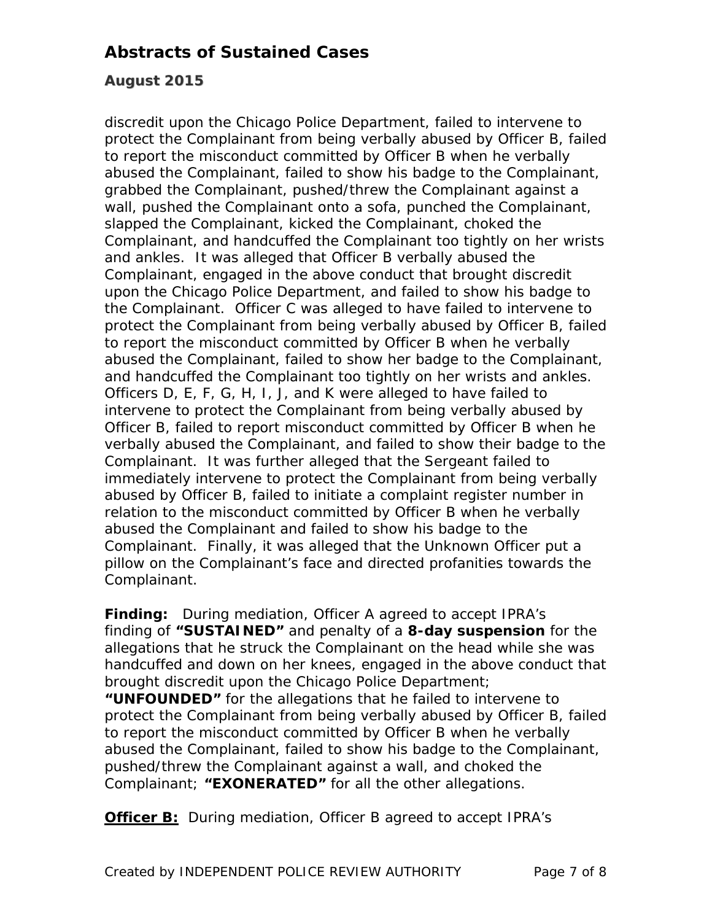### **August 2015**

discredit upon the Chicago Police Department, failed to intervene to protect the Complainant from being verbally abused by Officer B, failed to report the misconduct committed by Officer B when he verbally abused the Complainant, failed to show his badge to the Complainant, grabbed the Complainant, pushed/threw the Complainant against a wall, pushed the Complainant onto a sofa, punched the Complainant, slapped the Complainant, kicked the Complainant, choked the Complainant, and handcuffed the Complainant too tightly on her wrists and ankles. It was alleged that Officer B verbally abused the Complainant, engaged in the above conduct that brought discredit upon the Chicago Police Department, and failed to show his badge to the Complainant. Officer C was alleged to have failed to intervene to protect the Complainant from being verbally abused by Officer B, failed to report the misconduct committed by Officer B when he verbally abused the Complainant, failed to show her badge to the Complainant, and handcuffed the Complainant too tightly on her wrists and ankles. Officers D, E, F, G, H, I, J, and K were alleged to have failed to intervene to protect the Complainant from being verbally abused by Officer B, failed to report misconduct committed by Officer B when he verbally abused the Complainant, and failed to show their badge to the Complainant. It was further alleged that the Sergeant failed to immediately intervene to protect the Complainant from being verbally abused by Officer B, failed to initiate a complaint register number in relation to the misconduct committed by Officer B when he verbally abused the Complainant and failed to show his badge to the Complainant. Finally, it was alleged that the Unknown Officer put a pillow on the Complainant's face and directed profanities towards the Complainant.

**Finding:** During mediation, Officer A agreed to accept IPRA's finding of **"SUSTAINED"** and penalty of a **8-day suspension** for the allegations that he struck the Complainant on the head while she was handcuffed and down on her knees, engaged in the above conduct that brought discredit upon the Chicago Police Department;

**"UNFOUNDED"** for the allegations that he failed to intervene to protect the Complainant from being verbally abused by Officer B, failed to report the misconduct committed by Officer B when he verbally abused the Complainant, failed to show his badge to the Complainant, pushed/threw the Complainant against a wall, and choked the Complainant; **"EXONERATED"** for all the other allegations.

**Officer B:** During mediation, Officer B agreed to accept IPRA's